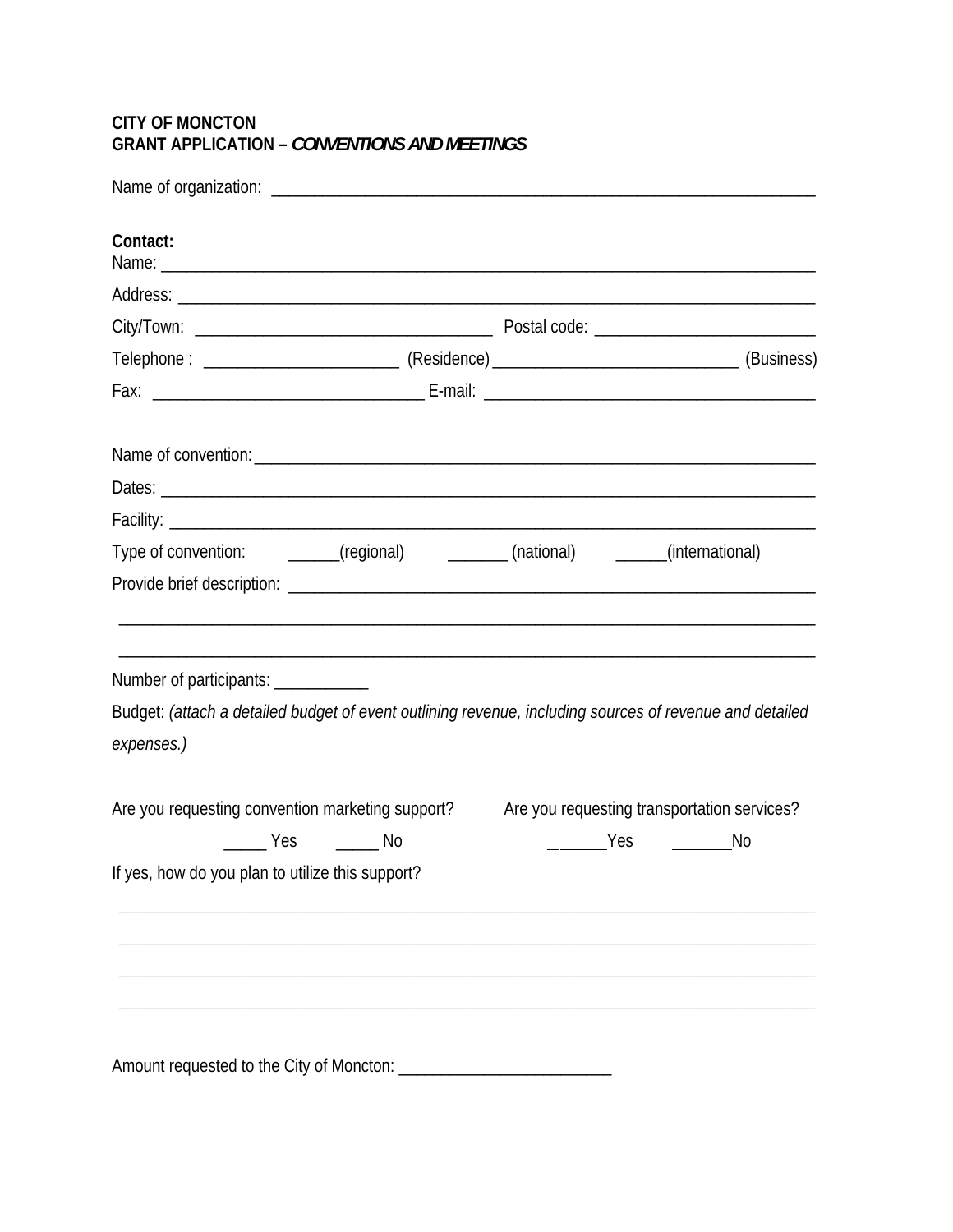## **CITY OF MONCTON** GRANT APPLICATION - CONVENTIONS AND MEETINGS

| Contact:                                                                                                              |  |                                             |
|-----------------------------------------------------------------------------------------------------------------------|--|---------------------------------------------|
|                                                                                                                       |  |                                             |
|                                                                                                                       |  |                                             |
|                                                                                                                       |  |                                             |
|                                                                                                                       |  |                                             |
|                                                                                                                       |  |                                             |
|                                                                                                                       |  |                                             |
|                                                                                                                       |  |                                             |
|                                                                                                                       |  |                                             |
| Type of convention: _______(regional) _________(national) _______(international)                                      |  |                                             |
|                                                                                                                       |  |                                             |
|                                                                                                                       |  |                                             |
| Number of participants: ____________                                                                                  |  |                                             |
| Budget: (attach a detailed budget of event outlining revenue, including sources of revenue and detailed<br>expenses.) |  |                                             |
| Are you requesting convention marketing support?                                                                      |  | Are you requesting transportation services? |
| _______ Yes _______ No                                                                                                |  | _________Yes ________<br>No                 |
| If yes, how do you plan to utilize this support?                                                                      |  |                                             |
|                                                                                                                       |  |                                             |
|                                                                                                                       |  |                                             |
|                                                                                                                       |  |                                             |
|                                                                                                                       |  |                                             |
|                                                                                                                       |  |                                             |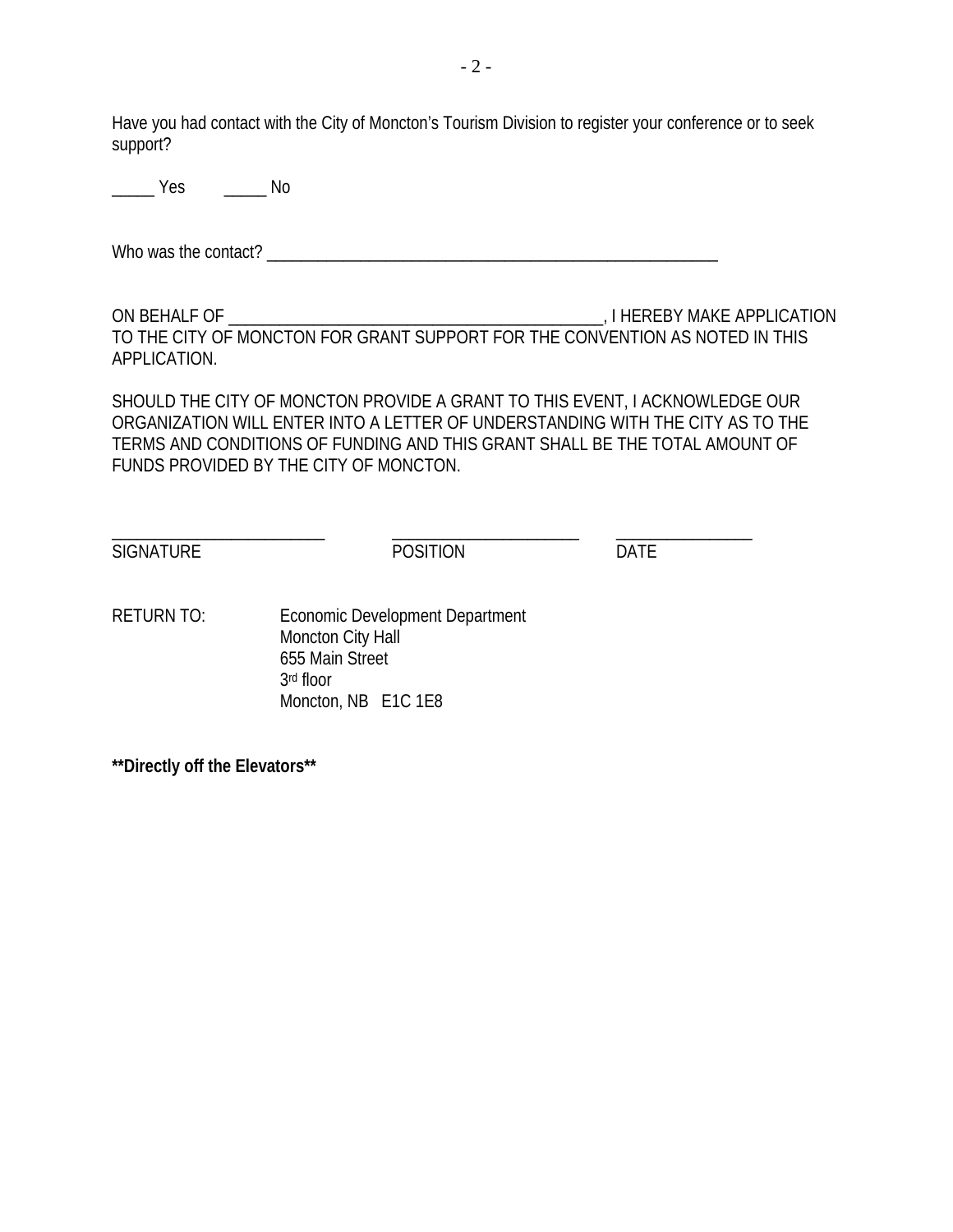Have you had contact with the City of Moncton's Tourism Division to register your conference or to seek support?

\_\_\_\_\_ Yes \_\_\_\_\_ No

Who was the contact? \_\_\_\_\_\_\_\_\_\_\_\_\_\_\_\_\_\_\_\_\_\_\_\_\_\_\_\_\_\_\_\_\_\_\_\_\_\_\_\_\_\_\_\_\_\_\_\_\_\_\_\_\_

ON BEHALF OF \_\_\_\_\_\_\_\_\_\_\_\_\_\_\_\_\_\_\_\_\_\_\_\_\_\_\_\_\_\_\_\_\_\_\_\_\_\_\_\_\_\_\_\_, I HEREBY MAKE APPLICATION TO THE CITY OF MONCTON FOR GRANT SUPPORT FOR THE CONVENTION AS NOTED IN THIS APPLICATION.

SHOULD THE CITY OF MONCTON PROVIDE A GRANT TO THIS EVENT, I ACKNOWLEDGE OUR ORGANIZATION WILL ENTER INTO A LETTER OF UNDERSTANDING WITH THE CITY AS TO THE TERMS AND CONDITIONS OF FUNDING AND THIS GRANT SHALL BE THE TOTAL AMOUNT OF FUNDS PROVIDED BY THE CITY OF MONCTON.

SIGNATURE POSITION POSITION

\_\_\_\_\_\_\_\_\_\_\_\_\_\_\_\_\_\_\_\_\_\_\_\_\_ \_\_\_\_\_\_\_\_\_\_\_\_\_\_\_\_\_\_\_\_\_\_ \_\_\_\_\_\_\_\_\_\_\_\_\_\_\_\_

RETURN TO: Economic Development Department Moncton City Hall 655 Main Street 3rd floor Moncton, NB E1C 1E8

**\*\*Directly off the Elevators\*\***